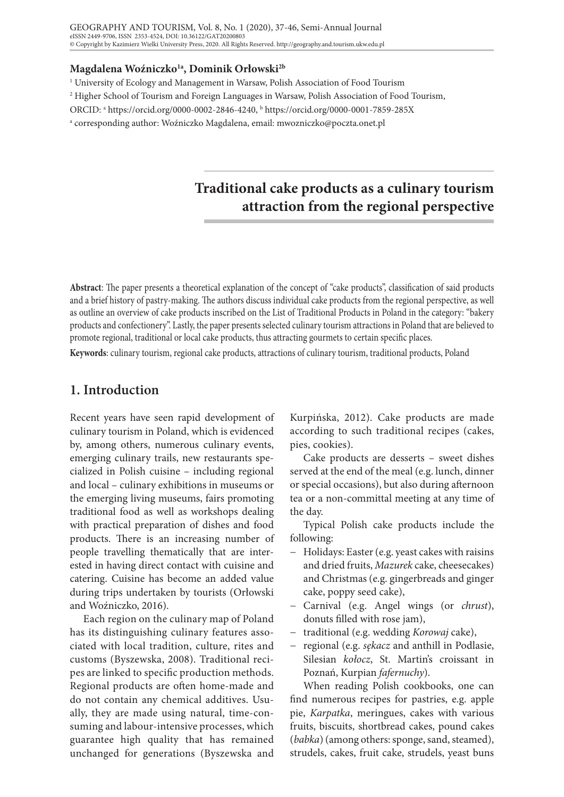### **Magdalena Woźniczko1a, Dominik Orłowski2b**

<sup>1</sup> University of Ecology and Management in Warsaw, Polish Association of Food Tourism

2 Higher School of Tourism and Foreign Languages in Warsaw, Polish Association of Food Tourism,

ORCID: a https://orcid.org/0000-0002-2846-4240, b https://orcid.org/0000-0001-7859-285X

a corresponding author: Woźniczko Magdalena, email: mwozniczko@poczta.onet.pl

# **Traditional cake products as a culinary tourism attraction from the regional perspective**

**Abstract**: The paper presents a theoretical explanation of the concept of "cake products", classification of said products and a brief history of pastry-making. The authors discuss individual cake products from the regional perspective, as well as outline an overview of cake products inscribed on the List of Traditional Products in Poland in the category: "bakery products and confectionery". Lastly, the paper presents selected culinary tourism attractions in Poland that are believed to promote regional, traditional or local cake products, thus attracting gourmets to certain specific places.

**Keywords**: culinary tourism, regional cake products, attractions of culinary tourism, traditional products, Poland

# **1. Introduction**

Recent years have seen rapid development of culinary tourism in Poland, which is evidenced by, among others, numerous culinary events, emerging culinary trails, new restaurants specialized in Polish cuisine – including regional and local – culinary exhibitions in museums or the emerging living museums, fairs promoting traditional food as well as workshops dealing with practical preparation of dishes and food products. There is an increasing number of people travelling thematically that are interested in having direct contact with cuisine and catering. Cuisine has become an added value during trips undertaken by tourists (Orłowski and Woźniczko, 2016).

Each region on the culinary map of Poland has its distinguishing culinary features associated with local tradition, culture, rites and customs (Byszewska, 2008). Traditional recipes are linked to specific production methods. Regional products are often home-made and do not contain any chemical additives. Usually, they are made using natural, time-consuming and labour-intensive processes, which guarantee high quality that has remained unchanged for generations (Byszewska and

Kurpińska, 2012). Cake products are made according to such traditional recipes (cakes, pies, cookies).

Cake products are desserts – sweet dishes served at the end of the meal (e.g. lunch, dinner or special occasions), but also during afternoon tea or a non-committal meeting at any time of the day.

Typical Polish cake products include the following:

- − Holidays: Easter (e.g. yeast cakes with raisins and dried fruits, *Mazurek* cake, cheesecakes) and Christmas (e.g. gingerbreads and ginger cake, poppy seed cake),
- − Carnival (e.g. Angel wings (or *chrust*), donuts filled with rose jam),
- − traditional (e.g. wedding *Korowaj* cake),
- − regional (e.g. *sękacz* and anthill in Podlasie, Silesian *kołocz*, St. Martin's croissant in Poznań, Kurpian *fafernuchy*).

When reading Polish cookbooks, one can find numerous recipes for pastries, e.g. apple pie, *Karpatka*, meringues, cakes with various fruits, biscuits, shortbread cakes, pound cakes (*babka*) (among others: sponge, sand, steamed), strudels, cakes, fruit cake, strudels, yeast buns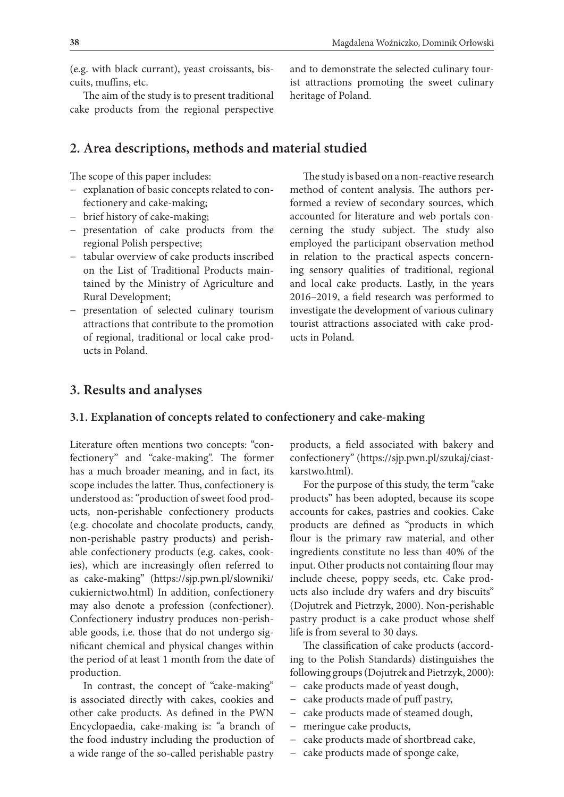**38**

(e.g. with black currant), yeast croissants, biscuits, muffins, etc.

The aim of the study is to present traditional cake products from the regional perspective

# **2. Area descriptions, methods and material studied**

The scope of this paper includes:

- − explanation of basic concepts related to confectionery and cake-making;
- − brief history of cake-making;
- − presentation of cake products from the regional Polish perspective;
- − tabular overview of cake products inscribed on the List of Traditional Products maintained by the Ministry of Agriculture and Rural Development;
- − presentation of selected culinary tourism attractions that contribute to the promotion of regional, traditional or local cake products in Poland.

and to demonstrate the selected culinary tourist attractions promoting the sweet culinary heritage of Poland.

The study is based on a non-reactive research method of content analysis. The authors performed a review of secondary sources, which accounted for literature and web portals concerning the study subject. The study also employed the participant observation method in relation to the practical aspects concerning sensory qualities of traditional, regional and local cake products. Lastly, in the years 2016–2019, a field research was performed to investigate the development of various culinary tourist attractions associated with cake products in Poland.

# **3. Results and analyses**

### **3.1. Explanation of concepts related to confectionery and cake-making**

Literature often mentions two concepts: "confectionery" and "cake-making". The former has a much broader meaning, and in fact, its scope includes the latter. Thus, confectionery is understood as: "production of sweet food products, non-perishable confectionery products (e.g. chocolate and chocolate products, candy, non-perishable pastry products) and perishable confectionery products (e.g. cakes, cookies), which are increasingly often referred to as cake-making" (https://sjp.pwn.pl/slowniki/ cukiernictwo.html) In addition, confectionery may also denote a profession (confectioner). Confectionery industry produces non-perishable goods, i.e. those that do not undergo significant chemical and physical changes within the period of at least 1 month from the date of production.

In contrast, the concept of "cake-making" is associated directly with cakes, cookies and other cake products. As defined in the PWN Encyclopaedia, cake-making is: "a branch of the food industry including the production of a wide range of the so-called perishable pastry

products, a field associated with bakery and confectionery" (https://sjp.pwn.pl/szukaj/ciastkarstwo.html).

For the purpose of this study, the term "cake products" has been adopted, because its scope accounts for cakes, pastries and cookies. Cake products are defined as "products in which flour is the primary raw material, and other ingredients constitute no less than 40% of the input. Other products not containing flour may include cheese, poppy seeds, etc. Cake products also include dry wafers and dry biscuits" (Dojutrek and Pietrzyk, 2000). Non-perishable pastry product is a cake product whose shelf life is from several to 30 days.

The classification of cake products (according to the Polish Standards) distinguishes the following groups (Dojutrek and Pietrzyk, 2000):

- − cake products made of yeast dough,
- − cake products made of puff pastry,
- − cake products made of steamed dough,
- meringue cake products,
- − cake products made of shortbread cake,
- − cake products made of sponge cake,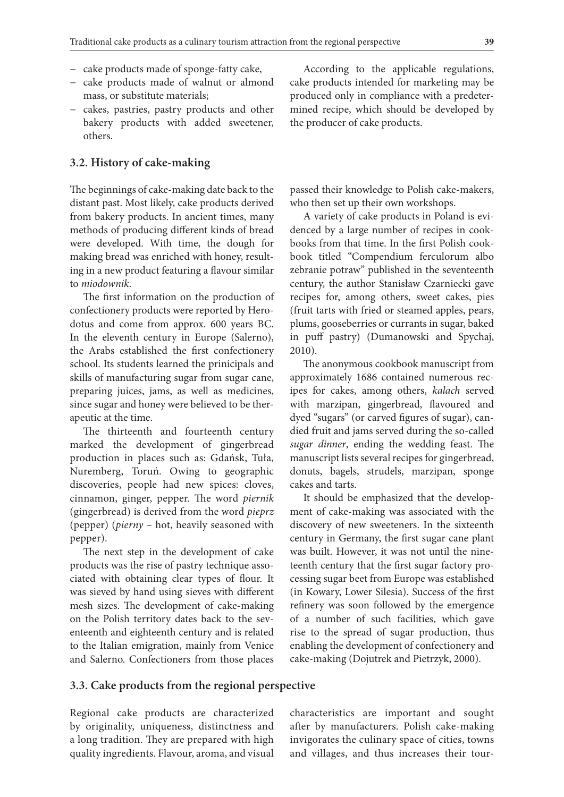- − cake products made of sponge-fatty cake,
- − cake products made of walnut or almond mass, or substitute materials;
- − cakes, pastries, pastry products and other bakery products with added sweetener, others.

#### **3.2. History of cake-making**

The beginnings of cake-making date back to the distant past. Most likely, cake products derived from bakery products. In ancient times, many methods of producing different kinds of bread were developed. With time, the dough for making bread was enriched with honey, resulting in a new product featuring a flavour similar to *miodownik*.

The first information on the production of confectionery products were reported by Herodotus and come from approx. 600 years BC. In the eleventh century in Europe (Salerno), the Arabs established the first confectionery school. Its students learned the prinicipals and skills of manufacturing sugar from sugar cane, preparing juices, jams, as well as medicines, since sugar and honey were believed to be therapeutic at the time.

The thirteenth and fourteenth century marked the development of gingerbread production in places such as: Gdańsk, Tuła, Nuremberg, Toruń. Owing to geographic discoveries, people had new spices: cloves, cinnamon, ginger, pepper. The word *piernik* (gingerbread) is derived from the word *pieprz* (pepper) (*pierny* – hot, heavily seasoned with pepper).

The next step in the development of cake products was the rise of pastry technique associated with obtaining clear types of flour. It was sieved by hand using sieves with different mesh sizes. The development of cake-making on the Polish territory dates back to the seventeenth and eighteenth century and is related to the Italian emigration, mainly from Venice and Salerno. Confectioners from those places

According to the applicable regulations, cake products intended for marketing may be produced only in compliance with a predetermined recipe, which should be developed by the producer of cake products.

passed their knowledge to Polish cake-makers, who then set up their own workshops.

A variety of cake products in Poland is evidenced by a large number of recipes in cookbooks from that time. In the first Polish cookbook titled "Compendium ferculorum albo zebranie potraw" published in the seventeenth century, the author Stanisław Czarniecki gave recipes for, among others, sweet cakes, pies (fruit tarts with fried or steamed apples, pears, plums, gooseberries or currants in sugar, baked in puff pastry) (Dumanowski and Spychaj, 2010).

The anonymous cookbook manuscript from approximately 1686 contained numerous recipes for cakes, among others, *kalach* served with marzipan, gingerbread, flavoured and dyed "sugars" (or carved figures of sugar), candied fruit and jams served during the so-called *sugar dinner*, ending the wedding feast. The manuscript lists several recipes for gingerbread, donuts, bagels, strudels, marzipan, sponge cakes and tarts.

It should be emphasized that the development of cake-making was associated with the discovery of new sweeteners. In the sixteenth century in Germany, the first sugar cane plant was built. However, it was not until the nineteenth century that the first sugar factory processing sugar beet from Europe was established (in Kowary, Lower Silesia). Success of the first refinery was soon followed by the emergence of a number of such facilities, which gave rise to the spread of sugar production, thus enabling the development of confectionery and cake-making (Dojutrek and Pietrzyk, 2000).

#### **3.3. Cake products from the regional perspective**

Regional cake products are characterized by originality, uniqueness, distinctness and a long tradition. They are prepared with high quality ingredients. Flavour, aroma, and visual

characteristics are important and sought after by manufacturers. Polish cake-making invigorates the culinary space of cities, towns and villages, and thus increases their tour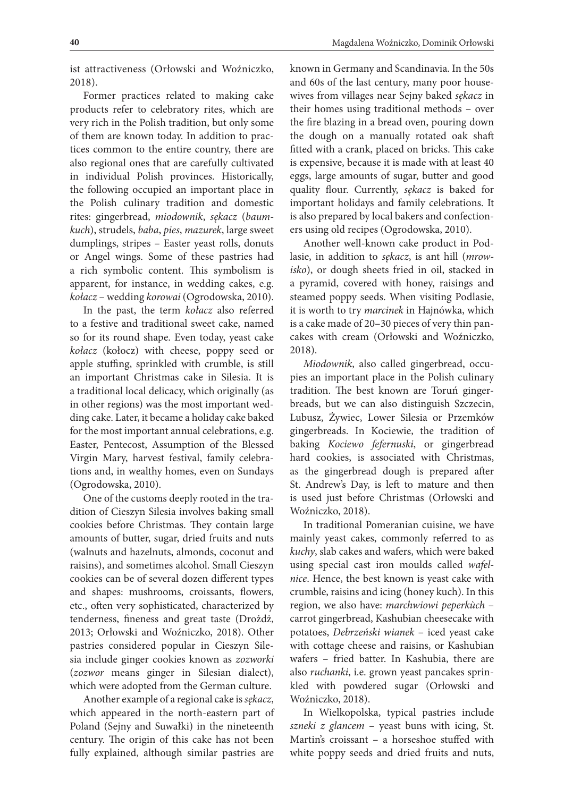ist attractiveness (Orłowski and Woźniczko, 2018).

Former practices related to making cake products refer to celebratory rites, which are very rich in the Polish tradition, but only some of them are known today. In addition to practices common to the entire country, there are also regional ones that are carefully cultivated in individual Polish provinces. Historically, the following occupied an important place in the Polish culinary tradition and domestic rites: gingerbread, *miodownik*, *sękacz* (*baumkuch*), strudels, *baba*, *pies*, *mazurek*, large sweet dumplings, stripes – Easter yeast rolls, donuts or Angel wings. Some of these pastries had a rich symbolic content. This symbolism is apparent, for instance, in wedding cakes, e.g. *kołacz* – wedding *korowai* (Ogrodowska, 2010).

In the past, the term *kołacz* also referred to a festive and traditional sweet cake, named so for its round shape. Even today, yeast cake *kołacz* (kołocz) with cheese, poppy seed or apple stuffing, sprinkled with crumble, is still an important Christmas cake in Silesia. It is a traditional local delicacy, which originally (as in other regions) was the most important wedding cake. Later, it became a holiday cake baked for the most important annual celebrations, e.g. Easter, Pentecost, Assumption of the Blessed Virgin Mary, harvest festival, family celebrations and, in wealthy homes, even on Sundays (Ogrodowska, 2010).

One of the customs deeply rooted in the tradition of Cieszyn Silesia involves baking small cookies before Christmas. They contain large amounts of butter, sugar, dried fruits and nuts (walnuts and hazelnuts, almonds, coconut and raisins), and sometimes alcohol. Small Cieszyn cookies can be of several dozen different types and shapes: mushrooms, croissants, flowers, etc., often very sophisticated, characterized by tenderness, fineness and great taste (Drożdż, 2013; Orłowski and Woźniczko, 2018). Other pastries considered popular in Cieszyn Silesia include ginger cookies known as *zozworki* (*zozwor* means ginger in Silesian dialect), which were adopted from the German culture.

Another example of a regional cake is *sękacz*, which appeared in the north-eastern part of Poland (Sejny and Suwałki) in the nineteenth century. The origin of this cake has not been fully explained, although similar pastries are

known in Germany and Scandinavia. In the 50s and 60s of the last century, many poor housewives from villages near Sejny baked *sękacz* in their homes using traditional methods – over the fire blazing in a bread oven, pouring down the dough on a manually rotated oak shaft fitted with a crank, placed on bricks. This cake is expensive, because it is made with at least 40 eggs, large amounts of sugar, butter and good quality flour. Currently, *sękacz* is baked for important holidays and family celebrations. It is also prepared by local bakers and confectioners using old recipes (Ogrodowska, 2010).

Another well-known cake product in Podlasie, in addition to *sękacz*, is ant hill (*mrowisko*), or dough sheets fried in oil, stacked in a pyramid, covered with honey, raisings and steamed poppy seeds. When visiting Podlasie, it is worth to try *marcinek* in Hajnówka, which is a cake made of 20–30 pieces of very thin pancakes with cream (Orłowski and Woźniczko, 2018).

*Miodownik*, also called gingerbread, occupies an important place in the Polish culinary tradition. The best known are Toruń gingerbreads, but we can also distinguish Szczecin, Lubusz, Żywiec, Lower Silesia or Przemków gingerbreads. In Kociewie, the tradition of baking *Kociewo fefernuski*, or gingerbread hard cookies, is associated with Christmas, as the gingerbread dough is prepared after St. Andrew's Day, is left to mature and then is used just before Christmas (Orłowski and Woźniczko, 2018).

In traditional Pomeranian cuisine, we have mainly yeast cakes, commonly referred to as *kuchy*, slab cakes and wafers, which were baked using special cast iron moulds called *wafelnice*. Hence, the best known is yeast cake with crumble, raisins and icing (honey kuch). In this region, we also have: *marchwiowi peperkùch* – carrot gingerbread, Kashubian cheesecake with potatoes, *Debrzeński wianek* – iced yeast cake with cottage cheese and raisins, or Kashubian wafers – fried batter. In Kashubia, there are also *ruchanki*, i.e. grown yeast pancakes sprinkled with powdered sugar (Orłowski and Woźniczko, 2018).

In Wielkopolska, typical pastries include *szneki z glancem* – yeast buns with icing, St. Martin's croissant – a horseshoe stuffed with white poppy seeds and dried fruits and nuts,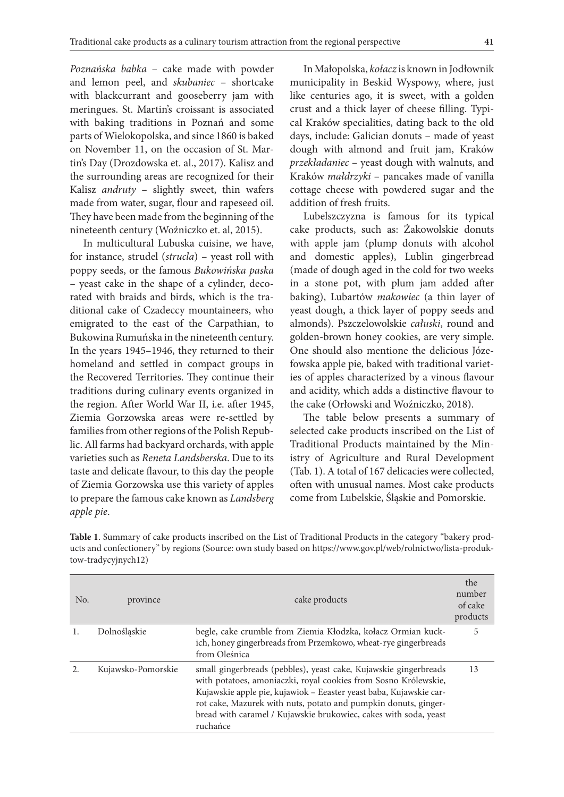*Poznańska babka* – cake made with powder and lemon peel, and *skubaniec* – shortcake with blackcurrant and gooseberry jam with meringues. St. Martin's croissant is associated with baking traditions in Poznań and some parts of Wielokopolska, and since 1860 is baked on November 11, on the occasion of St. Martin's Day (Drozdowska et. al., 2017). Kalisz and the surrounding areas are recognized for their Kalisz *andruty* – slightly sweet, thin wafers made from water, sugar, flour and rapeseed oil. They have been made from the beginning of the nineteenth century (Woźniczko et. al, 2015).

In multicultural Lubuska cuisine, we have, for instance, strudel (*strucla*) – yeast roll with poppy seeds, or the famous *Bukowińska paska* – yeast cake in the shape of a cylinder, decorated with braids and birds, which is the traditional cake of Czadeccy mountaineers, who emigrated to the east of the Carpathian, to Bukowina Rumuńska in the nineteenth century. In the years 1945–1946, they returned to their homeland and settled in compact groups in the Recovered Territories. They continue their traditions during culinary events organized in the region. After World War II, i.e. after 1945, Ziemia Gorzowska areas were re-settled by families from other regions of the Polish Republic. All farms had backyard orchards, with apple varieties such as *Reneta Landsberska*. Due to its taste and delicate flavour, to this day the people of Ziemia Gorzowska use this variety of apples to prepare the famous cake known as *Landsberg apple pie*.

In Małopolska, *kołacz* is known in Jodłownik municipality in Beskid Wyspowy, where, just like centuries ago, it is sweet, with a golden crust and a thick layer of cheese filling. Typical Kraków specialities, dating back to the old days, include: Galician donuts – made of yeast dough with almond and fruit jam, Kraków *przekładaniec* – yeast dough with walnuts, and Kraków *małdrzyki* – pancakes made of vanilla cottage cheese with powdered sugar and the addition of fresh fruits.

Lubelszczyzna is famous for its typical cake products, such as: Żakowolskie donuts with apple jam (plump donuts with alcohol and domestic apples), Lublin gingerbread (made of dough aged in the cold for two weeks in a stone pot, with plum jam added after baking), Lubartów *makowiec* (a thin layer of yeast dough, a thick layer of poppy seeds and almonds). Pszczelowolskie *całuski*, round and golden-brown honey cookies, are very simple. One should also mentione the delicious Józefowska apple pie, baked with traditional varieties of apples characterized by a vinous flavour and acidity, which adds a distinctive flavour to the cake (Orłowski and Woźniczko, 2018).

The table below presents a summary of selected cake products inscribed on the List of Traditional Products maintained by the Ministry of Agriculture and Rural Development (Tab. 1). A total of 167 delicacies were collected, often with unusual names. Most cake products come from Lubelskie, Śląskie and Pomorskie.

| N <sub>0</sub> | province           | cake products                                                                                                                                                                                                                                                                                                                                                | the<br>number<br>of cake<br>products |
|----------------|--------------------|--------------------------------------------------------------------------------------------------------------------------------------------------------------------------------------------------------------------------------------------------------------------------------------------------------------------------------------------------------------|--------------------------------------|
|                | Dolnośląskie       | begle, cake crumble from Ziemia Kłodzka, kołacz Ormian kuck-<br>ich, honey gingerbreads from Przemkowo, wheat-rye gingerbreads<br>from Oleśnica                                                                                                                                                                                                              | 5                                    |
|                | Kujawsko-Pomorskie | small gingerbreads (pebbles), yeast cake, Kujawskie gingerbreads<br>with potatoes, amoniaczki, royal cookies from Sosno Królewskie,<br>Kujawskie apple pie, kujawiok - Eeaster yeast baba, Kujawskie car-<br>rot cake, Mazurek with nuts, potato and pumpkin donuts, ginger-<br>bread with caramel / Kujawskie brukowiec, cakes with soda, yeast<br>ruchańce | 13                                   |

**Table 1**. Summary of cake products inscribed on the List of Traditional Products in the category "bakery products and confectionery" by regions (Source: own study based on https://www.gov.pl/web/rolnictwo/lista-produktow-tradycyjnych12)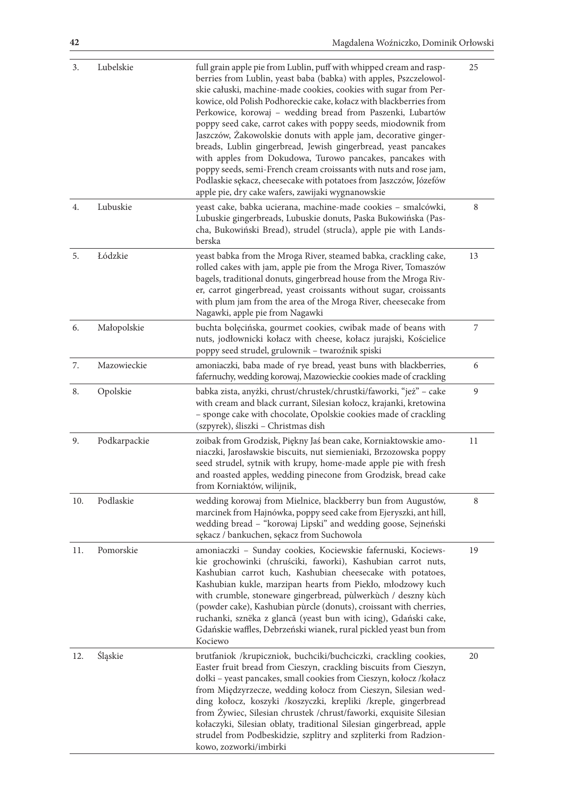| 3.  | Lubelskie    | full grain apple pie from Lublin, puff with whipped cream and rasp-<br>berries from Lublin, yeast baba (babka) with apples, Pszczelowol-<br>skie całuski, machine-made cookies, cookies with sugar from Per-<br>kowice, old Polish Podhoreckie cake, kołacz with blackberries from<br>Perkowice, korowaj – wedding bread from Paszenki, Lubartów<br>poppy seed cake, carrot cakes with poppy seeds, miodownik from<br>Jaszczów, Żakowolskie donuts with apple jam, decorative ginger-<br>breads, Lublin gingerbread, Jewish gingerbread, yeast pancakes<br>with apples from Dokudowa, Turowo pancakes, pancakes with<br>poppy seeds, semi-French cream croissants with nuts and rose jam,<br>Podlaskie sękacz, cheesecake with potatoes from Jaszczów, Józefów<br>apple pie, dry cake wafers, zawijaki wygnanowskie | 25 |
|-----|--------------|---------------------------------------------------------------------------------------------------------------------------------------------------------------------------------------------------------------------------------------------------------------------------------------------------------------------------------------------------------------------------------------------------------------------------------------------------------------------------------------------------------------------------------------------------------------------------------------------------------------------------------------------------------------------------------------------------------------------------------------------------------------------------------------------------------------------|----|
| 4.  | Lubuskie     | yeast cake, babka ucierana, machine-made cookies - smalcówki,<br>Lubuskie gingerbreads, Lubuskie donuts, Paska Bukowińska (Pas-<br>cha, Bukowiński Bread), strudel (strucla), apple pie with Lands-<br>berska                                                                                                                                                                                                                                                                                                                                                                                                                                                                                                                                                                                                       | 8  |
| 5.  | Łódzkie      | yeast babka from the Mroga River, steamed babka, crackling cake,<br>rolled cakes with jam, apple pie from the Mroga River, Tomaszów<br>bagels, traditional donuts, gingerbread house from the Mroga Riv-<br>er, carrot gingerbread, yeast croissants without sugar, croissants<br>with plum jam from the area of the Mroga River, cheesecake from<br>Nagawki, apple pie from Nagawki                                                                                                                                                                                                                                                                                                                                                                                                                                | 13 |
| 6.  | Małopolskie  | buchta bolęcińska, gourmet cookies, cwibak made of beans with<br>nuts, jodłownicki kołacz with cheese, kołacz jurajski, Kościelice<br>poppy seed strudel, grulownik - twaroźnik spiski                                                                                                                                                                                                                                                                                                                                                                                                                                                                                                                                                                                                                              | 7  |
| 7.  | Mazowieckie  | amoniaczki, baba made of rye bread, yeast buns with blackberries,<br>fafernuchy, wedding korowaj, Mazowieckie cookies made of crackling                                                                                                                                                                                                                                                                                                                                                                                                                                                                                                                                                                                                                                                                             | 6  |
| 8.  | Opolskie     | babka zista, anyżki, chrust/chrustek/chrustki/faworki, "jeż" – cake<br>with cream and black currant, Silesian kołocz, krajanki, kretowina<br>- sponge cake with chocolate, Opolskie cookies made of crackling<br>(szpyrek), śliszki - Christmas dish                                                                                                                                                                                                                                                                                                                                                                                                                                                                                                                                                                | 9  |
| 9.  | Podkarpackie | zoibak from Grodzisk, Piękny Jaś bean cake, Korniaktowskie amo-<br>niaczki, Jarosławskie biscuits, nut siemieniaki, Brzozowska poppy<br>seed strudel, sytnik with krupy, home-made apple pie with fresh<br>and roasted apples, wedding pinecone from Grodzisk, bread cake<br>from Korniaktów, wilijnik,                                                                                                                                                                                                                                                                                                                                                                                                                                                                                                             | 11 |
| 10. | Podlaskie    | wedding korowaj from Mielnice, blackberry bun from Augustów,<br>marcinek from Hajnówka, poppy seed cake from Ejeryszki, ant hill,<br>wedding bread - "korowaj Lipski" and wedding goose, Sejneński<br>sękacz / bankuchen, sękacz from Suchowola                                                                                                                                                                                                                                                                                                                                                                                                                                                                                                                                                                     | 8  |
| 11. | Pomorskie    | amoniaczki - Sunday cookies, Kociewskie fafernuski, Kociews-<br>kie grochowinki (chruściki, faworki), Kashubian carrot nuts,<br>Kashubian carrot kuch, Kashubian cheesecake with potatoes,<br>Kashubian kukle, marzipan hearts from Piekło, młodzowy kuch<br>with crumble, stoneware gingerbread, pùlwerkùch / deszny kùch<br>(powder cake), Kashubian pùrcle (donuts), croissant with cherries,<br>ruchanki, sznëka z glancã (yeast bun with icing), Gdański cake,<br>Gdańskie waffles, Debrzeński wianek, rural pickled yeast bun from<br>Kociewo                                                                                                                                                                                                                                                                 | 19 |
| 12. | Śląskie      | brutfaniok /krupiczniok, buchciki/buchciczki, crackling cookies,<br>Easter fruit bread from Cieszyn, crackling biscuits from Cieszyn,<br>dołki - yeast pancakes, small cookies from Cieszyn, kołocz /kołacz<br>from Międzyrzecze, wedding kołocz from Cieszyn, Silesian wed-<br>ding kołocz, koszyki /koszyczki, krepliki /kreple, gingerbread<br>from Żywiec, Silesian chrustek / chrust/faworki, exquisite Silesian<br>kołaczyki, Silesian oblaty, traditional Silesian gingerbread, apple<br>strudel from Podbeskidzie, szplitry and szpliterki from Radzion-<br>kowo, zozworki/imbirki                                                                                                                                                                                                                          | 20 |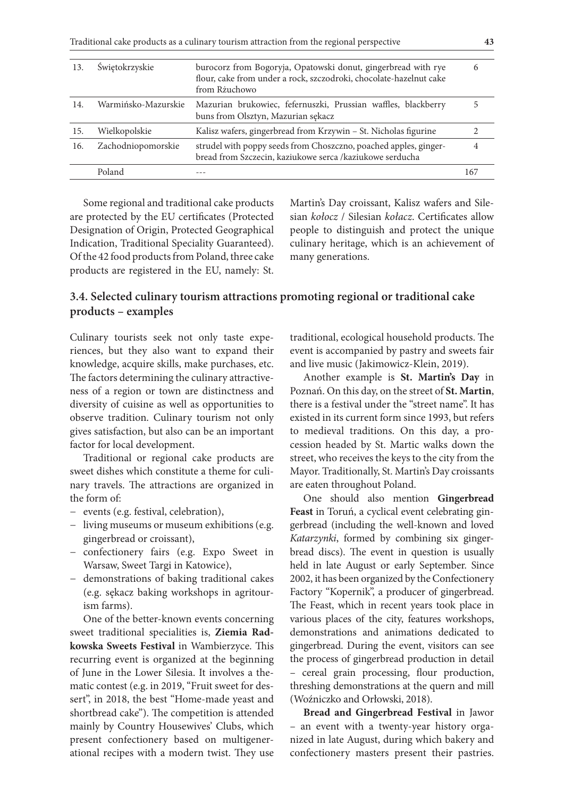Traditional cake products as a culinary tourism attraction from the regional perspective **43**

| Świętokrzyskie<br>burocorz from Bogoryja, Opatowski donut, gingerbread with rye<br>13.<br>flour, cake from under a rock, szczodroki, chocolate-hazelnut cake<br>from Rzuchowo<br>Warmińsko-Mazurskie<br>Mazurian brukowiec, fefernuszki, Prussian waffles, blackberry<br>14.<br>buns from Olsztyn, Mazurian sękacz<br>Kalisz wafers, gingerbread from Krzywin - St. Nicholas figurine<br>Wielkopolskie<br>15.<br>Zachodniopomorskie<br>strudel with poppy seeds from Choszczno, poached apples, ginger-<br>16.<br>bread from Szczecin, kaziukowe serca /kaziukowe serducha<br>Poland<br>167 |  |  |
|---------------------------------------------------------------------------------------------------------------------------------------------------------------------------------------------------------------------------------------------------------------------------------------------------------------------------------------------------------------------------------------------------------------------------------------------------------------------------------------------------------------------------------------------------------------------------------------------|--|--|
|                                                                                                                                                                                                                                                                                                                                                                                                                                                                                                                                                                                             |  |  |
|                                                                                                                                                                                                                                                                                                                                                                                                                                                                                                                                                                                             |  |  |
|                                                                                                                                                                                                                                                                                                                                                                                                                                                                                                                                                                                             |  |  |
|                                                                                                                                                                                                                                                                                                                                                                                                                                                                                                                                                                                             |  |  |
|                                                                                                                                                                                                                                                                                                                                                                                                                                                                                                                                                                                             |  |  |

Some regional and traditional cake products are protected by the EU certificates (Protected Designation of Origin, Protected Geographical Indication, Traditional Speciality Guaranteed). Of the 42 food products from Poland, three cake products are registered in the EU, namely: St.

Martin's Day croissant, Kalisz wafers and Silesian *kołocz* / Silesian *kołacz*. Certificates allow people to distinguish and protect the unique culinary heritage, which is an achievement of many generations.

## **3.4. Selected culinary tourism attractions promoting regional or traditional cake products – examples**

Culinary tourists seek not only taste experiences, but they also want to expand their knowledge, acquire skills, make purchases, etc. The factors determining the culinary attractiveness of a region or town are distinctness and diversity of cuisine as well as opportunities to observe tradition. Culinary tourism not only gives satisfaction, but also can be an important factor for local development.

Traditional or regional cake products are sweet dishes which constitute a theme for culinary travels. The attractions are organized in the form of:

- − events (e.g. festival, celebration),
- − living museums or museum exhibitions (e.g. gingerbread or croissant),
- − confectionery fairs (e.g. Expo Sweet in Warsaw, Sweet Targi in Katowice),
- − demonstrations of baking traditional cakes (e.g. sękacz baking workshops in agritourism farms).

One of the better-known events concerning sweet traditional specialities is, **Ziemia Radkowska Sweets Festival** in Wambierzyce. This recurring event is organized at the beginning of June in the Lower Silesia. It involves a thematic contest (e.g. in 2019, "Fruit sweet for dessert", in 2018, the best "Home-made yeast and shortbread cake"). The competition is attended mainly by Country Housewives' Clubs, which present confectionery based on multigenerational recipes with a modern twist. They use traditional, ecological household products. The event is accompanied by pastry and sweets fair and live music (Jakimowicz-Klein, 2019).

Another example is **St. Martin's Day** in Poznań. On this day, on the street of **St. Martin**, there is a festival under the "street name". It has existed in its current form since 1993, but refers to medieval traditions. On this day, a procession headed by St. Martic walks down the street, who receives the keys to the city from the Mayor. Traditionally, St. Martin's Day croissants are eaten throughout Poland.

One should also mention **Gingerbread Feast** in Toruń, a cyclical event celebrating gingerbread (including the well-known and loved *Katarzynki*, formed by combining six gingerbread discs). The event in question is usually held in late August or early September. Since 2002, it has been organized by the Confectionery Factory "Kopernik", a producer of gingerbread. The Feast, which in recent years took place in various places of the city, features workshops, demonstrations and animations dedicated to gingerbread. During the event, visitors can see the process of gingerbread production in detail – cereal grain processing, flour production, threshing demonstrations at the quern and mill (Woźniczko and Orłowski, 2018).

**Bread and Gingerbread Festival** in Jawor – an event with a twenty-year history organized in late August, during which bakery and confectionery masters present their pastries.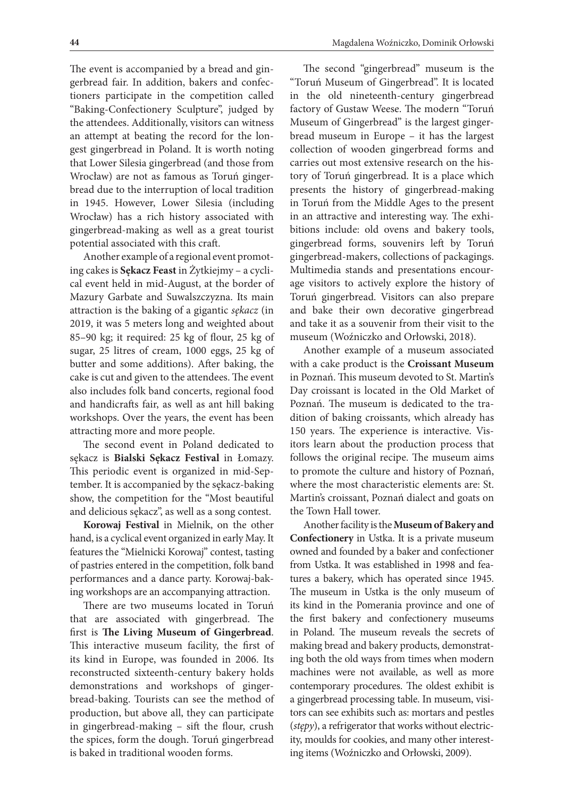The event is accompanied by a bread and gingerbread fair. In addition, bakers and confectioners participate in the competition called "Baking-Confectionery Sculpture", judged by the attendees. Additionally, visitors can witness an attempt at beating the record for the longest gingerbread in Poland. It is worth noting that Lower Silesia gingerbread (and those from Wrocław) are not as famous as Toruń gingerbread due to the interruption of local tradition in 1945. However, Lower Silesia (including Wrocław) has a rich history associated with gingerbread-making as well as a great tourist potential associated with this craft.

Another example of a regional event promoting cakes is **Sękacz Feast** in Żytkiejmy – a cyclical event held in mid-August, at the border of Mazury Garbate and Suwalszczyzna. Its main attraction is the baking of a gigantic *sękacz* (in 2019, it was 5 meters long and weighted about 85–90 kg; it required: 25 kg of flour, 25 kg of sugar, 25 litres of cream, 1000 eggs, 25 kg of butter and some additions). After baking, the cake is cut and given to the attendees. The event also includes folk band concerts, regional food and handicrafts fair, as well as ant hill baking workshops. Over the years, the event has been attracting more and more people.

The second event in Poland dedicated to sękacz is **Bialski Sękacz Festival** in Łomazy. This periodic event is organized in mid-September. It is accompanied by the sękacz-baking show, the competition for the "Most beautiful and delicious sękacz", as well as a song contest.

**Korowaj Festival** in Mielnik, on the other hand, is a cyclical event organized in early May. It features the "Mielnicki Korowaj" contest, tasting of pastries entered in the competition, folk band performances and a dance party. Korowaj-baking workshops are an accompanying attraction.

There are two museums located in Toruń that are associated with gingerbread. The first is **The Living Museum of Gingerbread**. This interactive museum facility, the first of its kind in Europe, was founded in 2006. Its reconstructed sixteenth-century bakery holds demonstrations and workshops of gingerbread-baking. Tourists can see the method of production, but above all, they can participate in gingerbread-making – sift the flour, crush the spices, form the dough. Toruń gingerbread is baked in traditional wooden forms.

The second "gingerbread" museum is the "Toruń Museum of Gingerbread". It is located in the old nineteenth-century gingerbread factory of Gustaw Weese. The modern "Toruń Museum of Gingerbread" is the largest gingerbread museum in Europe – it has the largest collection of wooden gingerbread forms and carries out most extensive research on the history of Toruń gingerbread. It is a place which presents the history of gingerbread-making in Toruń from the Middle Ages to the present in an attractive and interesting way. The exhibitions include: old ovens and bakery tools, gingerbread forms, souvenirs left by Toruń gingerbread-makers, collections of packagings. Multimedia stands and presentations encourage visitors to actively explore the history of Toruń gingerbread. Visitors can also prepare and bake their own decorative gingerbread and take it as a souvenir from their visit to the museum (Woźniczko and Orłowski, 2018).

Another example of a museum associated with a cake product is the **Croissant Museum** in Poznań. This museum devoted to St. Martin's Day croissant is located in the Old Market of Poznań. The museum is dedicated to the tradition of baking croissants, which already has 150 years. The experience is interactive. Visitors learn about the production process that follows the original recipe. The museum aims to promote the culture and history of Poznań, where the most characteristic elements are: St. Martin's croissant, Poznań dialect and goats on the Town Hall tower.

Another facility is the **Museum of Bakery and Confectionery** in Ustka. It is a private museum owned and founded by a baker and confectioner from Ustka. It was established in 1998 and features a bakery, which has operated since 1945. The museum in Ustka is the only museum of its kind in the Pomerania province and one of the first bakery and confectionery museums in Poland. The museum reveals the secrets of making bread and bakery products, demonstrating both the old ways from times when modern machines were not available, as well as more contemporary procedures. The oldest exhibit is a gingerbread processing table. In museum, visitors can see exhibits such as: mortars and pestles (*stępy*), a refrigerator that works without electricity, moulds for cookies, and many other interesting items (Woźniczko and Orłowski, 2009).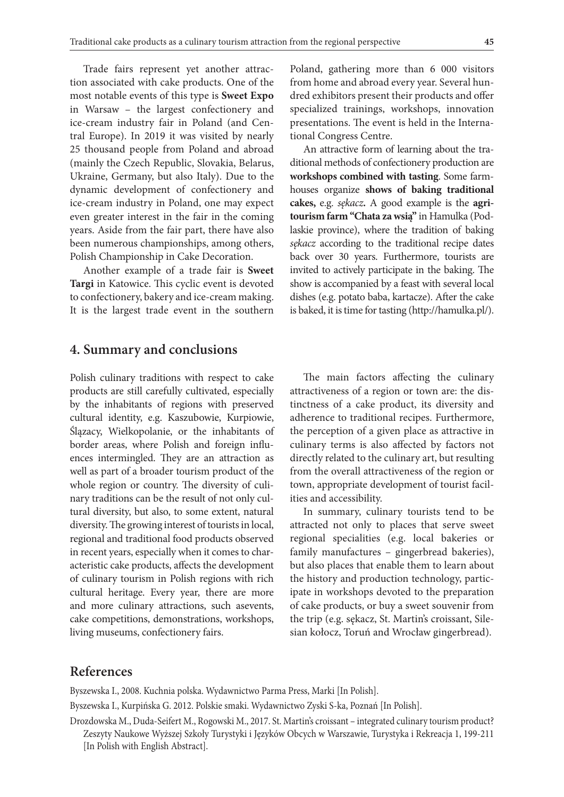Trade fairs represent yet another attraction associated with cake products. One of the most notable events of this type is **Sweet Expo**  in Warsaw – the largest confectionery and ice-cream industry fair in Poland (and Central Europe). In 2019 it was visited by nearly 25 thousand people from Poland and abroad (mainly the Czech Republic, Slovakia, Belarus, Ukraine, Germany, but also Italy). Due to the dynamic development of confectionery and ice-cream industry in Poland, one may expect even greater interest in the fair in the coming years. Aside from the fair part, there have also been numerous championships, among others, Polish Championship in Cake Decoration.

Another example of a trade fair is **Sweet Targi** in Katowice. This cyclic event is devoted to confectionery, bakery and ice-cream making. It is the largest trade event in the southern

### **4. Summary and conclusions**

Polish culinary traditions with respect to cake products are still carefully cultivated, especially by the inhabitants of regions with preserved cultural identity, e.g. Kaszubowie, Kurpiowie, Ślązacy, Wielkopolanie, or the inhabitants of border areas, where Polish and foreign influences intermingled. They are an attraction as well as part of a broader tourism product of the whole region or country. The diversity of culinary traditions can be the result of not only cultural diversity, but also, to some extent, natural diversity. The growing interest of tourists in local, regional and traditional food products observed in recent years, especially when it comes to characteristic cake products, affects the development of culinary tourism in Polish regions with rich cultural heritage. Every year, there are more and more culinary attractions, such asevents, cake competitions, demonstrations, workshops, living museums, confectionery fairs.

Poland, gathering more than 6 000 visitors from home and abroad every year. Several hundred exhibitors present their products and offer specialized trainings, workshops, innovation presentations. The event is held in the International Congress Centre.

An attractive form of learning about the traditional methods of confectionery production are **workshops combined with tasting**. Some farmhouses organize **shows of baking traditional cakes,** e.g. *sękacz***.** A good example is the **agritourism farm "Chata za wsią"** in Hamulka (Podlaskie province), where the tradition of baking *sękacz* according to the traditional recipe dates back over 30 years. Furthermore, tourists are invited to actively participate in the baking. The show is accompanied by a feast with several local dishes (e.g. potato baba, kartacze). After the cake is baked, it is time for tasting (http://hamulka.pl/).

The main factors affecting the culinary attractiveness of a region or town are: the distinctness of a cake product, its diversity and adherence to traditional recipes. Furthermore, the perception of a given place as attractive in culinary terms is also affected by factors not directly related to the culinary art, but resulting from the overall attractiveness of the region or town, appropriate development of tourist facilities and accessibility.

In summary, culinary tourists tend to be attracted not only to places that serve sweet regional specialities (e.g. local bakeries or family manufactures – gingerbread bakeries), but also places that enable them to learn about the history and production technology, participate in workshops devoted to the preparation of cake products, or buy a sweet souvenir from the trip (e.g. sękacz, St. Martin's croissant, Silesian kołocz, Toruń and Wrocław gingerbread).

### **References**

Byszewska I., 2008. Kuchnia polska. Wydawnictwo Parma Press, Marki [In Polish].

Byszewska I., Kurpińska G. 2012. Polskie smaki. Wydawnictwo Zyski S-ka, Poznań [In Polish].

Drozdowska M., Duda-Seifert M., Rogowski M., 2017. St. Martin's croissant – integrated culinary tourism product? Zeszyty Naukowe Wyższej Szkoły Turystyki i Języków Obcych w Warszawie, Turystyka i Rekreacja 1, 199-211 [In Polish with English Abstract].